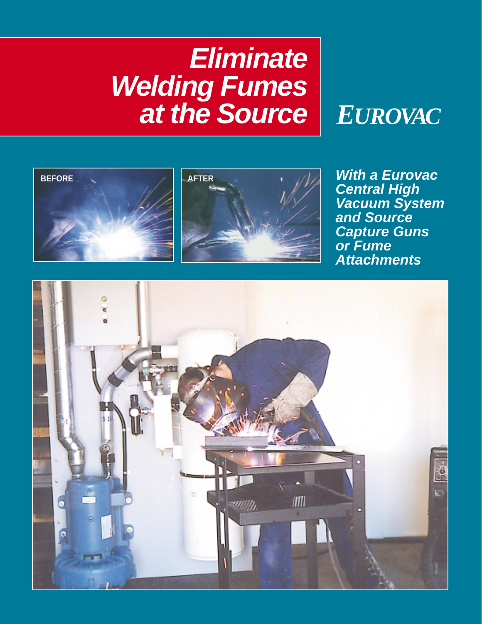# **Eliminate Welding Fumes at the Source** *EUROVAC*







**With a Eurovac Central High Vacuum System and Source Capture Guns or Fume Attachments**